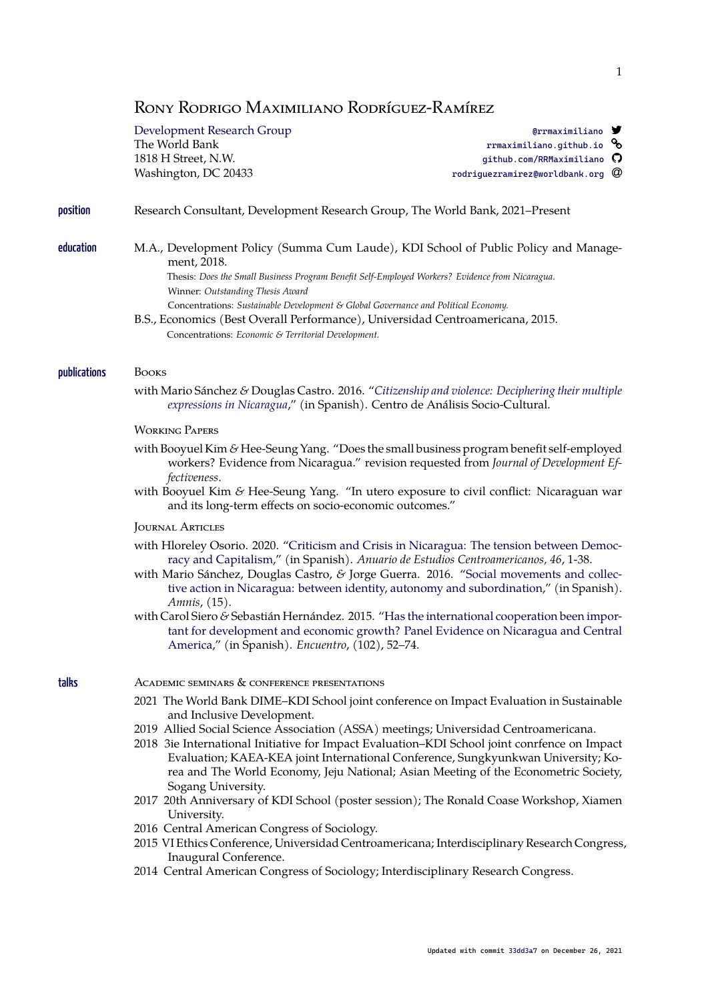# RONY RODRIGO MAXIMILIANO RODRÍGUEZ-RAMÍREZ

Development Research Group **and Community** and Community Community Community Community Community Orrmaximiliano

Washington, DC 20433 **rodriguezramirez@worldbank.org** 

The World Bank rrmaximiliano.github.io  $\mathcal S$ 1818 H Street, N.W. **Good Contract Contract Contract Contract Contract Contract Contract Contract Contract Contract Contract Contract Contract Contract Contract Contract Contract Contract Contract Contract Contract Contrac** 

## position Research Consultant, Development Research Group, The World B[an](https://github.com/RRMaximiliano)[k, 2021–Present](https://rrmaximiliano.github.io)

education M.A., Development Policy (Summa Cum Laude), KDI School of Public Policy and Management, 2018.

> Thesis: *Does the Small Business Program Benefit Self-Employed Workers? Evidence from Nicaragua*. Winner: *Outstanding Thesis Award*

- Concentrations: *Sustainable Development & Global Governance and Political Economy.*
- B.S., Economics (Best Overall Performance), Universidad Centroamericana, 2015. Concentrations: *Economic & Territorial Development.*

#### publications BOOKS

with Mario Sánchez *&* Douglas Castro. 2016. "*Citizenship and violence: Deciphering their multiple expressions in Nicaragua*," (in Spanish). Centro de Análisis Socio-Cultural.

### WORKING PAPERS

- with Booyuel Kim *&* Hee-Seung Yang. "Does t[he small business program benefit self-employed](http://biblioteca.clacso.edu.ar/Nicaragua/casc-uca/20150313124733/Ciudadania-y-violencia.pdf) [workers? Evidence from](http://biblioteca.clacso.edu.ar/Nicaragua/casc-uca/20150313124733/Ciudadania-y-violencia.pdf) Nicaragua." revision requested from *Journal of Development Effectiveness*.
- with Booyuel Kim *&* Hee-Seung Yang. "In utero exposure to civil conflict: Nicaraguan war and its long-term effects on socio-economic outcomes."

### JOURNAL ARTICLES

- with Hloreley Osorio. 2020. "Criticism and Crisis in Nicaragua: The tension between Democracy and Capitalism," (in Spanish). *Anuario de Estudios Centroamericanos, 46*, 1-38.
- with Mario Sánchez, Douglas Castro, *&* Jorge Guerra. 2016. "Social movements and collective action in Nicaragua: between identity, autonomy and subordination," (in Spanish). *Amnis*, (15).
- with [Carol Siero](https://revistas.ucr.ac.cr/index.php/anuario/article/view/45081/44860) *&* Sebastián [Hernández. 2015. "Has the international cooperation been impor](https://revistas.ucr.ac.cr/index.php/anuario/article/view/45081/44860)tant for development and economic growth? Panel Evide[nce on Nicaragua and Central](https://amnis.revues.org/2813) [America," \(in Spanish\).](https://amnis.revues.org/2813) *Encuentro*, (102), 52–74.

#### talks ACAD[EMIC SEMINARS & CONFERENCE PRESENTATIONS](http://www.uca.edu.ni/2/images/Revista-Encuentro/Revistas/e102/art-5.pdf)

- 2021 [The World](http://www.uca.edu.ni/2/images/Revista-Encuentro/Revistas/e102/art-5.pdf) Bank DIME–KDI School joint conference on Impact Evaluation in Sustainable and Inclusive Development.
- 2019 Allied Social Science Association (ASSA) meetings; Universidad Centroamericana.
- 2018 3ie International Initiative for Impact Evaluation–KDI School joint conrfence on Impact Evaluation; KAEA-KEA joint International Conference, Sungkyunkwan University; Korea and The World Economy, Jeju National; Asian Meeting of the Econometric Society, Sogang University.
- 2017 20th Anniversary of KDI School (poster session); The Ronald Coase Workshop, Xiamen University.
- 2016 Central American Congress of Sociology.
- 2015 VI Ethics Conference, Universidad Centroamericana; Interdisciplinary Research Congress, Inaugural Conference.
- 2014 Central American Congress of Sociology; Interdisciplinary Research Congress.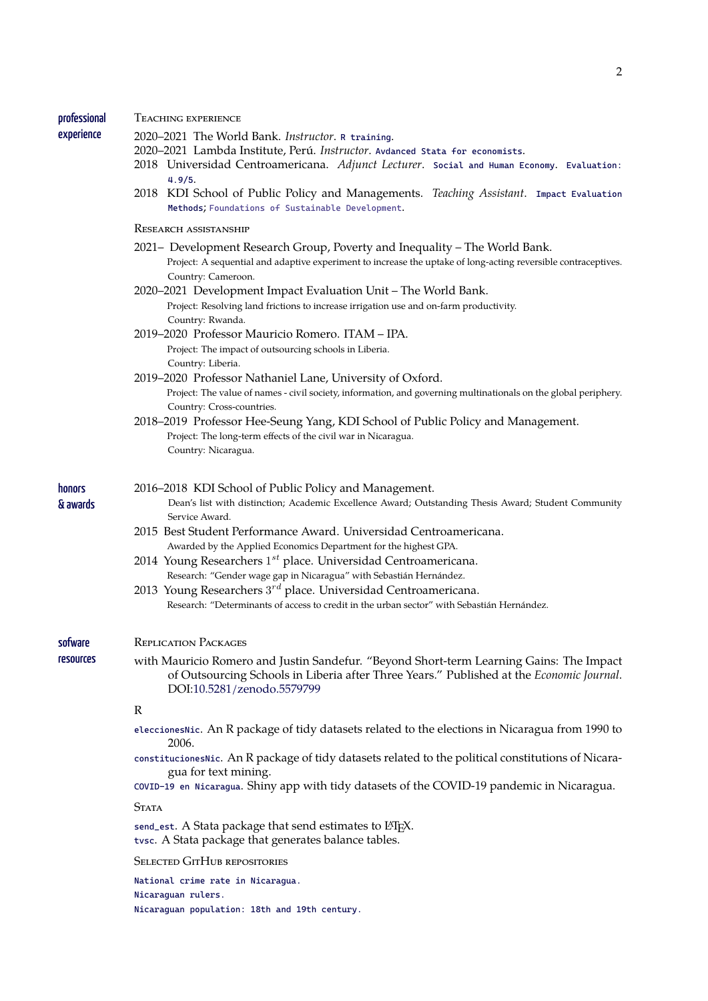professional TEACHING EXPERIENCE

experience

- 2020–2021 The World Bank. *Instructor*. R training.
- 2020–2021 Lambda Institute, Perú. *Instructor*. Avdanced Stata for economists.
	- 2018 Universidad Centroamericana. *Adjunct Lecturer*. Social and Human Economy. Evaluation: 4.9/5.
	- 2018 KDI School of Public Policy an[d Managem](https://github.com/worldbank/dime-r-training)ents. *Teaching Assistant*. Impact Evaluation Methods; Foundations of Sustainable Devel[opment](https://github.com/lambda-stata/course-materials).

#### RESEARCH ASSISTANSHIP

- 2021– [Deve](https://rrmaximiliano.github.io/docs/evaluation-esh.pdf)lopment Research Group, Poverty and Inequality The World Ba[nk.](https://www.dropbox.com/home/teaching_materials/kdischool/spring_2018_impact_evaluation) [Project: A](https://www.dropbox.com/home/teaching_materials/kdischool/spring_2018_impact_evaluation) sequential and adaptive experiment to increase the uptake of long-acting reversible contraceptives. Country: Cameroon.
- 2020–2021 Development Impact Evaluation Unit The World Bank. Project: Resolving land frictions to increase irrigation use and on-farm productivity. Country: Rwanda.
- 2019–2020 Professor Mauricio Romero. ITAM IPA. Project: The impact of outsourcing schools in Liberia. Country: Liberia.
- 2019–2020 Professor Nathaniel Lane, University of Oxford. Project: The value of names - civil society, information, and governing multinationals on the global periphery. Country: Cross-countries.
- 2018–2019 Professor Hee-Seung Yang, KDI School of Public Policy and Management. Project: The long-term effects of the civil war in Nicaragua. Country: Nicaragua.

#### honors 2016–2018 KDI School of Public Policy and Management.

- Dean's list with distinction; Academic Excellence Award; Outstanding Thesis Award; Student Community Service Award.
- 2015 Best Student Performance Award. Universidad Centroamericana. Awarded by the Applied Economics Department for the highest GPA.
- 2014 Young Researchers 1 *st* place. Universidad Centroamericana. Research: "Gender wage gap in Nicaragua" with Sebastián Hernández.
- 2013 Young Researchers 3 *rd* place. Universidad Centroamericana. Research: "Determinants of access to credit in the urban sector" with Sebastián Hernández.

sofware REPLICATION PACKAGES

resources

& awards

with Mauricio Romero and Justin Sandefur. "Beyond Short-term Learning Gains: The Impact of Outsourcing Schools in Liberia after Three Years." Published at the *Economic Journal*. DOI:10.5281/zenodo.5579799

#### R

- eleccionesNic. An R package of tidy datasets related to the elections in Nicaragua from 1990 to 2006.
- constitucionesNic[. An R package of ti](https://doi.org/10.5281/zenodo.5579799)dy datasets related to the political constitutions of Nicaragua for text mining.
- [COVID-19 en N](https://github.com/RRMaximiliano/eleccionesNic)icaragua. Shiny app with tidy datasets of the COVID-19 pandemic in Nicaragua.

**STATA** 

send\_est[. A Stata](https://github.com/RRMaximiliano/constitucionesNic) package that send estimates to LATEX. tvsc[. A Stata package](https://rrmaximiliano.shinyapps.io/covid-nicaragua/) that generates balance tables.

**SELECTED GITHUB REPOSITORIES** 

[Nicar](https://github.com/RRMaximiliano/tvsc)aguan rulers.

[National](https://github.com/RRMaximiliano/send_est) crime rate in Nicaragua.

Nicaraguan population: 18th and 19th century.

2